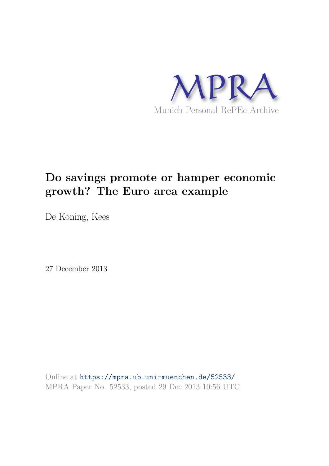

# **Do savings promote or hamper economic growth? The Euro area example**

De Koning, Kees

27 December 2013

Online at https://mpra.ub.uni-muenchen.de/52533/ MPRA Paper No. 52533, posted 29 Dec 2013 10:56 UTC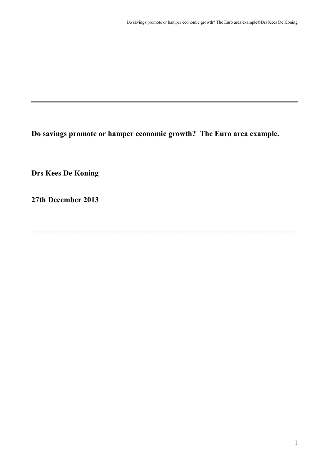**Do savings promote or hamper economic growth? The Euro area example.**

 $\mathcal{L}_\mathcal{L}$  , and the contribution of the contribution of the contribution of the contribution of the contribution of the contribution of the contribution of the contribution of the contribution of the contribution of

**Drs Kees De Koning**

**27th December 2013**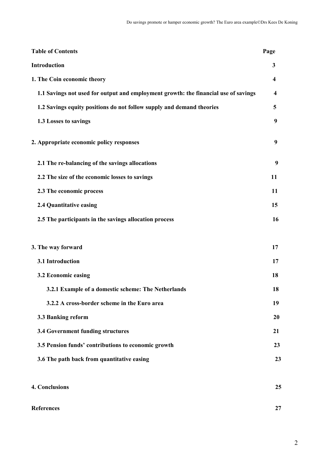| <b>Table of Contents</b>                                                            | Page                    |
|-------------------------------------------------------------------------------------|-------------------------|
| Introduction                                                                        | 3                       |
| 1. The Coin economic theory                                                         | 4                       |
| 1.1 Savings not used for output and employment growth: the financial use of savings | $\overline{\mathbf{4}}$ |
| 1.2 Savings equity positions do not follow supply and demand theories               | 5                       |
| 1.3 Losses to savings                                                               | 9                       |
| 2. Appropriate economic policy responses                                            | 9                       |
| 2.1 The re-balancing of the savings allocations                                     | 9                       |
| 2.2 The size of the economic losses to savings                                      | 11                      |
| 2.3 The economic process                                                            | 11                      |
| 2.4 Quantitative easing                                                             | 15                      |
| 2.5 The participants in the savings allocation process                              | 16                      |
| 3. The way forward                                                                  | 17                      |
| 3.1 Introduction                                                                    | 17                      |
| 3.2 Economic easing                                                                 | 18                      |
| 3.2.1 Example of a domestic scheme: The Netherlands                                 | 18                      |
| 3.2.2 A cross-border scheme in the Euro area                                        | 19                      |
| 3.3 Banking reform                                                                  | 20                      |
| 3.4 Government funding structures                                                   | 21                      |
| 3.5 Pension funds' contributions to economic growth                                 | 23                      |
| 3.6 The path back from quantitative easing                                          | 23                      |
| 4. Conclusions                                                                      | 25                      |
| <b>References</b>                                                                   | 27                      |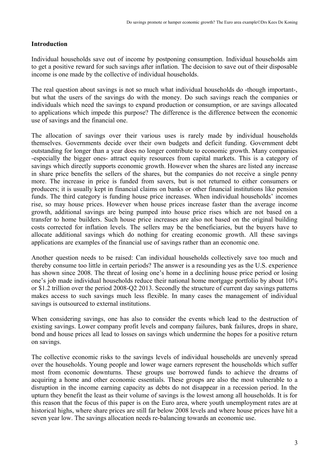## **Introduction**

Individual households save out of income by postponing consumption. Individual households aim to get a positive reward for such savings after inflation. The decision to save out of their disposable income is one made by the collective of individual households.

The real question about savings is not so much what individual households do -though important-, but what the users of the savings do with the money. Do such savings reach the companies or individuals which need the savings to expand production or consumption, or are savings allocated to applications which impede this purpose? The difference is the difference between the economic use of savings and the financial one.

The allocation of savings over their various uses is rarely made by individual households themselves. Governments decide over their own budgets and deficit funding. Government debt outstanding for longer than a year does no longer contribute to economic growth. Many companies -especially the bigger ones- attract equity resources from capital markets. This is a category of savings which directly supports economic growth. However when the shares are listed any increase in share price benefits the sellers of the shares, but the companies do not receive a single penny more. The increase in price is funded from savers, but is not returned to either consumers or producers; it is usually kept in financial claims on banks or other financial institutions like pension funds. The third category is funding house price increases. When individual households' incomes rise, so may house prices. However when house prices increase faster than the average income growth, additional savings are being pumped into house price rises which are not based on a transfer to home builders. Such house price increases are also not based on the original building costs corrected for inflation levels. The sellers may be the beneficiaries, but the buyers have to allocate additional savings which do nothing for creating economic growth. All these savings applications are examples of the financial use of savings rather than an economic one.

Another question needs to be raised: Can individual households collectively save too much and thereby consume too little in certain periods? The answer is a resounding yes as the U.S. experience has shown since 2008. The threat of losing one's home in a declining house price period or losing one's job made individual households reduce their national home mortgage portfolio by about 10% or \$1.2 trillion over the period 2008-Q2 2013. Secondly the structure of current day savings patterns makes access to such savings much less flexible. In many cases the management of individual savings is outsourced to external institutions.

When considering savings, one has also to consider the events which lead to the destruction of existing savings. Lower company profit levels and company failures, bank failures, drops in share, bond and house prices all lead to losses on savings which undermine the hopes for a positive return on savings.

The collective economic risks to the savings levels of individual households are unevenly spread over the households. Young people and lower wage earners represent the households which suffer most from economic downturns. These groups use borrowed funds to achieve the dreams of acquiring a home and other economic essentials. These groups are also the most vulnerable to a disruption in the income earning capacity as debts do not disappear in a recession period. In the upturn they benefit the least as their volume of savings is the lowest among all households. It is for this reason that the focus of this paper is on the Euro area, where youth unemployment rates are at historical highs, where share prices are still far below 2008 levels and where house prices have hit a seven year low. The savings allocation needs re-balancing towards an economic use.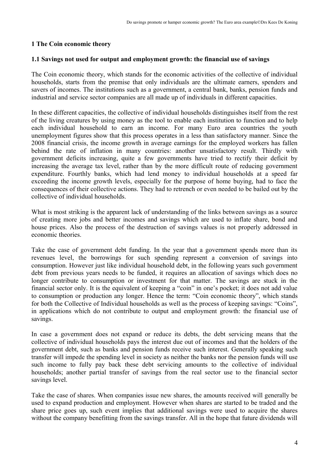#### **1 The Coin economic theory**

#### **1.1 Savings not used for output and employment growth: the financial use of savings**

The Coin economic theory, which stands for the economic activities of the collective of individual households, starts from the premise that only individuals are the ultimate earners, spenders and savers of incomes. The institutions such as a government, a central bank, banks, pension funds and industrial and service sector companies are all made up of individuals in different capacities.

In these different capacities, the collective of individual households distinguishes itself from the rest of the living creatures by using money as the tool to enable each institution to function and to help each individual household to earn an income. For many Euro area countries the youth unemployment figures show that this process operates in a less than satisfactory manner. Since the 2008 financial crisis, the income growth in average earnings for the employed workers has fallen behind the rate of inflation in many countries: another unsatisfactory result. Thirdly with government deficits increasing, quite a few governments have tried to rectify their deficit by increasing the average tax level, rather than by the more difficult route of reducing government expenditure. Fourthly banks, which had lend money to individual households at a speed far exceeding the income growth levels, especially for the purpose of home buying, had to face the consequences of their collective actions. They had to retrench or even needed to be bailed out by the collective of individual households.

What is most striking is the apparent lack of understanding of the links between savings as a source of creating more jobs and better incomes and savings which are used to inflate share, bond and house prices. Also the process of the destruction of savings values is not properly addressed in economic theories.

Take the case of government debt funding. In the year that a government spends more than its revenues level, the borrowings for such spending represent a conversion of savings into consumption. However just like individual household debt, in the following years such government debt from previous years needs to be funded, it requires an allocation of savings which does no longer contribute to consumption or investment for that matter. The savings are stuck in the financial sector only. It is the equivalent of keeping a "coin" in one's pocket; it does not add value to consumption or production any longer. Hence the term: "Coin economic theory", which stands for both the Collective of Individual households as well as the process of keeping savings: "Coins", in applications which do not contribute to output and employment growth: the financial use of savings.

In case a government does not expand or reduce its debts, the debt servicing means that the collective of individual households pays the interest due out of incomes and that the holders of the government debt, such as banks and pension funds receive such interest. Generally speaking such transfer will impede the spending level in society as neither the banks nor the pension funds will use such income to fully pay back these debt servicing amounts to the collective of individual households; another partial transfer of savings from the real sector use to the financial sector savings level.

Take the case of shares. When companies issue new shares, the amounts received will generally be used to expand production and employment. However when shares are started to be traded and the share price goes up, such event implies that additional savings were used to acquire the shares without the company benefitting from the savings transfer. All in the hope that future dividends will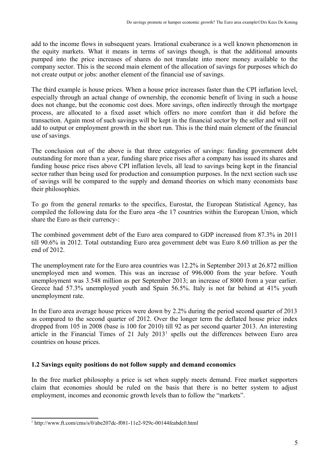add to the income flows in subsequent years. Irrational exuberance is a well known phenomenon in the equity markets. What it means in terms of savings though, is that the additional amounts pumped into the price increases of shares do not translate into more money available to the company sector. This is the second main element of the allocation of savings for purposes which do not create output or jobs: another element of the financial use of savings.

The third example is house prices. When a house price increases faster than the CPI inflation level, especially through an actual change of ownership, the economic benefit of living in such a house does not change, but the economic cost does. More savings, often indirectly through the mortgage process, are allocated to a fixed asset which offers no more comfort than it did before the transaction. Again most of such savings will be kept in the financial sector by the seller and will not add to output or employment growth in the short run. This is the third main element of the financial use of savings.

The conclusion out of the above is that three categories of savings: funding government debt outstanding for more than a year, funding share price rises after a company has issued its shares and funding house price rises above CPI inflation levels, all lead to savings being kept in the financial sector rather than being used for production and consumption purposes. In the next section such use of savings will be compared to the supply and demand theories on which many economists base their philosophies.

To go from the general remarks to the specifics, Eurostat, the European Statistical Agency, has compiled the following data for the Euro area -the 17 countries within the European Union, which share the Euro as their currency-:

The combined government debt of the Euro area compared to GDP increased from 87.3% in 2011 till 90.6% in 2012. Total outstanding Euro area government debt was Euro 8.60 trillion as per the end of 2012.

The unemployment rate for the Euro area countries was 12.2% in September 2013 at 26.872 million unemployed men and women. This was an increase of 996.000 from the year before. Youth unemployment was 3.548 million as per September 2013; an increase of 8000 from a year earlier. Greece had 57.3% unemployed youth and Spain 56.5%. Italy is not far behind at 41% youth unemployment rate.

In the Euro area average house prices were down by 2.2% during the period second quarter of 2013 as compared to the second quarter of 2012. Over the longer term the deflated house price index dropped from 105 in 2008 (base is 100 for 2010) till 92 as per second quarter 2013. An interesting article in the Financial Times of  $21$  July  $2013<sup>1</sup>$  spells out the differences between Euro area countries on house prices.

#### **1.2 Savings equity positions do not follow supply and demand economics**

In the free market philosophy a price is set when supply meets demand. Free market supporters claim that economies should be ruled on the basis that there is no better system to adjust employment, incomes and economic growth levels than to follow the "markets".

<sup>&</sup>lt;sup>1</sup> http://www.ft.com/cms/s/0/abe207dc-f081-11e2-929c-00144feabdc0.html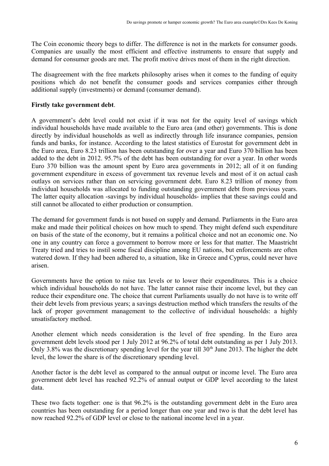The Coin economic theory begs to differ. The difference is not in the markets for consumer goods. Companies are usually the most efficient and effective instruments to ensure that supply and demand for consumer goods are met. The profit motive drives most of them in the right direction.

The disagreement with the free markets philosophy arises when it comes to the funding of equity positions which do not benefit the consumer goods and services companies either through additional supply (investments) or demand (consumer demand).

## **Firstly take government debt**.

A government's debt level could not exist if it was not for the equity level of savings which individual households have made available to the Euro area (and other) governments. This is done directly by individual households as well as indirectly through life insurance companies, pension funds and banks, for instance. According to the latest statistics of Eurostat for government debt in the Euro area, Euro 8.23 trillion has been outstanding for over a year and Euro 370 billion has been added to the debt in 2012. 95.7% of the debt has been outstanding for over a year. In other words Euro 370 billion was the amount spent by Euro area governments in 2012; all of it on funding government expenditure in excess of government tax revenue levels and most of it on actual cash outlays on services rather than on servicing government debt. Euro 8.23 trillion of money from individual households was allocated to funding outstanding government debt from previous years. The latter equity allocation -savings by individual households- implies that these savings could and still cannot be allocated to either production or consumption.

The demand for government funds is not based on supply and demand. Parliaments in the Euro area make and made their political choices on how much to spend. They might defend such expenditure on basis of the state of the economy, but it remains a political choice and not an economic one. No one in any country can force a government to borrow more or less for that matter. The Maastricht Treaty tried and tries to instil some fiscal discipline among EU nations, but enforcements are often watered down. If they had been adhered to, a situation, like in Greece and Cyprus, could never have arisen.

Governments have the option to raise tax levels or to lower their expenditures. This is a choice which individual households do not have. The latter cannot raise their income level, but they can reduce their expenditure one. The choice that current Parliaments usually do not have is to write off their debt levels from previous years; a savings destruction method which transfers the results of the lack of proper government management to the collective of individual households: a highly unsatisfactory method.

Another element which needs consideration is the level of free spending. In the Euro area government debt levels stood per 1 July 2012 at 96.2% of total debt outstanding as per 1 July 2013. Only 3.8% was the discretionary spending level for the year till  $30<sup>th</sup>$  June 2013. The higher the debt level, the lower the share is of the discretionary spending level.

Another factor is the debt level as compared to the annual output or income level. The Euro area government debt level has reached 92.2% of annual output or GDP level according to the latest data.

These two facts together: one is that 96.2% is the outstanding government debt in the Euro area countries has been outstanding for a period longer than one year and two is that the debt level has now reached 92.2% of GDP level or close to the national income level in a year.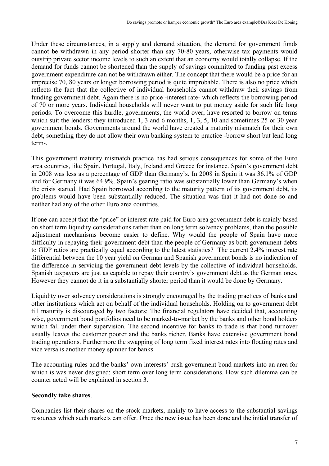Under these circumstances, in a supply and demand situation, the demand for government funds cannot be withdrawn in any period shorter than say 70-80 years, otherwise tax payments would outstrip private sector income levels to such an extent that an economy would totally collapse. If the demand for funds cannot be shortened than the supply of savings committed to funding past excess government expenditure can not be withdrawn either. The concept that there would be a price for an imprecise 70, 80 years or longer borrowing period is quite improbable. There is also no price which reflects the fact that the collective of individual households cannot withdraw their savings from funding government debt. Again there is no price -interest rate- which reflects the borrowing period of 70 or more years. Individual households will never want to put money aside for such life long periods. To overcome this hurdle, governments, the world over, have resorted to borrow on terms which suit the lenders: they introduced 1, 3 and 6 months, 1, 3, 5, 10 and sometimes 25 or 30 year government bonds. Governments around the world have created a maturity mismatch for their own debt, something they do not allow their own banking system to practice -borrow short but lend long term-.

This government maturity mismatch practice has had serious consequences for some of the Euro area countries, like Spain, Portugal, Italy, Ireland and Greece for instance. Spain's government debt in 2008 was less as a percentage of GDP than Germany's. In 2008 in Spain it was 36.1% of GDP and for Germany it was 64.9%. Spain's gearing ratio was substantially lower than Germany's when the crisis started. Had Spain borrowed according to the maturity pattern of its government debt, its problems would have been substantially reduced. The situation was that it had not done so and neither had any of the other Euro area countries.

If one can accept that the "price" or interest rate paid for Euro area government debt is mainly based on short term liquidity considerations rather than on long term solvency problems, than the possible adjustment mechanisms become easier to define. Why would the people of Spain have more difficulty in repaying their government debt than the people of Germany as both government debts to GDP ratios are practically equal according to the latest statistics? The current 2.4% interest rate differential between the 10 year yield on German and Spanish government bonds is no indication of the difference in servicing the government debt levels by the collective of individual households. Spanish taxpayers are just as capable to repay their country's government debt as the German ones. However they cannot do it in a substantially shorter period than it would be done by Germany.

Liquidity over solvency considerations is strongly encouraged by the trading practices of banks and other institutions which act on behalf of the individual households. Holding on to government debt till maturity is discouraged by two factors: The financial regulators have decided that, accounting wise, government bond portfolios need to be marked-to-market by the banks and other bond holders which fall under their supervision. The second incentive for banks to trade is that bond turnover usually leaves the customer poorer and the banks richer. Banks have extensive government bond trading operations. Furthermore the swapping of long term fixed interest rates into floating rates and vice versa is another money spinner for banks.

The accounting rules and the banks' own interests' push government bond markets into an area for which is was never designed: short term over long term considerations. How such dilemma can be counter acted will be explained in section 3.

#### **Secondly take shares**.

Companies list their shares on the stock markets, mainly to have access to the substantial savings resources which such markets can offer. Once the new issue has been done and the initial transfer of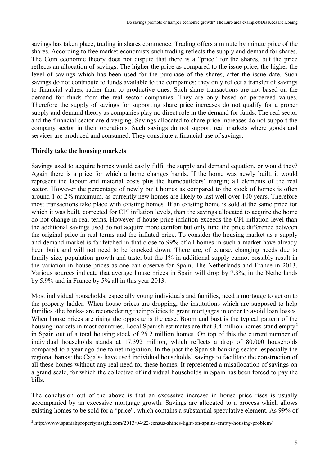savings has taken place, trading in shares commence. Trading offers a minute by minute price of the shares. According to free market economists such trading reflects the supply and demand for shares. The Coin economic theory does not dispute that there is a "price" for the shares, but the price reflects an allocation of savings. The higher the price as compared to the issue price, the higher the level of savings which has been used for the purchase of the shares, after the issue date. Such savings do not contribute to funds available to the companies; they only reflect a transfer of savings to financial values, rather than to productive ones. Such share transactions are not based on the demand for funds from the real sector companies. They are only based on perceived values. Therefore the supply of savings for supporting share price increases do not qualify for a proper supply and demand theory as companies play no direct role in the demand for funds. The real sector and the financial sector are diverging. Savings allocated to share price increases do not support the company sector in their operations. Such savings do not support real markets where goods and services are produced and consumed. They constitute a financial use of savings.

#### **Thirdly take the housing markets**

Savings used to acquire homes would easily fulfil the supply and demand equation, or would they? Again there is a price for which a home changes hands. If the home was newly built, it would represent the labour and material costs plus the homebuilders' margin; all elements of the real sector. However the percentage of newly built homes as compared to the stock of homes is often around 1 or 2% maximum, as currently new homes are likely to last well over 100 years. Therefore most transactions take place with existing homes. If an existing home is sold at the same price for which it was built, corrected for CPI inflation levels, than the savings allocated to acquire the home do not change in real terms. However if house price inflation exceeds the CPI inflation level than the additional savings used do not acquire more comfort but only fund the price difference between the original price in real terms and the inflated price. To consider the housing market as a supply and demand market is far fetched in that close to 99% of all homes in such a market have already been built and will not need to be knocked down. There are, of course, changing needs due to family size, population growth and taste, but the 1% in additional supply cannot possibly result in the variation in house prices as one can observe for Spain, The Netherlands and France in 2013. Various sources indicate that average house prices in Spain will drop by 7.8%, in the Netherlands by 5.9% and in France by 5% all in this year 2013.

Most individual households, especially young individuals and families, need a mortgage to get on to the property ladder. When house prices are dropping, the institutions which are supposed to help families -the banks- are reconsidering their policies to grant mortgages in order to avoid loan losses. When house prices are rising the opposite is the case. Boom and bust is the typical pattern of the housing markets in most countries. Local Spanish estimates are that 3.4 million homes stand empty<sup>2</sup> in Spain out of a total housing stock of 25.2 million homes. On top of this the current number of individual households stands at 17.392 million, which reflects a drop of 80.000 households compared to a year ago due to net migration. In the past the Spanish banking sector -especially the regional banks: the Caja's- have used individual households' savings to facilitate the construction of all these homes without any real need for these homes. It represented a misallocation of savings on a grand scale, for which the collective of individual households in Spain has been forced to pay the bills.

The conclusion out of the above is that an excessive increase in house price rises is usually accompanied by an excessive mortgage growth. Savings are allocated to a process which allows existing homes to be sold for a "price", which contains a substantial speculative element. As 99% of

<sup>&</sup>lt;sup>2</sup> http://www.spanishpropertyinsight.com/2013/04/22/census-shines-light-on-spains-empty-housing-problem/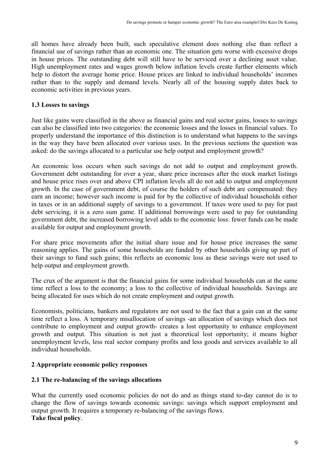all homes have already been built, such speculative element does nothing else than reflect a financial use of savings rather than an economic one. The situation gets worse with excessive drops in house prices. The outstanding debt will still have to be serviced over a declining asset value. High unemployment rates and wages growth below inflation levels create further elements which help to distort the average home price. House prices are linked to individual households' incomes rather than to the supply and demand levels. Nearly all of the housing supply dates back to economic activities in previous years.

#### **1.3 Losses to savings**

Just like gains were classified in the above as financial gains and real sector gains, losses to savings can also be classified into two categories: the economic losses and the losses in financial values. To properly understand the importance of this distinction is to understand what happens to the savings in the way they have been allocated over various uses. In the previous sections the question was asked: do the savings allocated to a particular use help output and employment growth?

An economic loss occurs when such savings do not add to output and employment growth. Government debt outstanding for over a year, share price increases after the stock market listings and house price rises over and above CPI inflation levels all do not add to output and employment growth. In the case of government debt, of course the holders of such debt are compensated: they earn an income; however such income is paid for by the collective of individual households either in taxes or in an additional supply of savings to a government. If taxes were used to pay for past debt servicing, it is a zero sum game. If additional borrowings were used to pay for outstanding government debt, the increased borrowing level adds to the economic loss: fewer funds can be made available for output and employment growth.

For share price movements after the initial share issue and for house price increases the same reasoning applies. The gains of some households are funded by other households giving up part of their savings to fund such gains; this reflects an economic loss as these savings were not used to help output and employment growth.

The crux of the argument is that the financial gains for some individual households can at the same time reflect a loss to the economy; a loss to the collective of individual households. Savings are being allocated for uses which do not create employment and output growth.

Economists, politicians, bankers and regulators are not used to the fact that a gain can at the same time reflect a loss. A temporary misallocation of savings -an allocation of savings which does not contribute to employment and output growth- creates a lost opportunity to enhance employment growth and output. This situation is not just a theoretical lost opportunity; it means higher unemployment levels, less real sector company profits and less goods and services available to all individual households.

#### **2 Appropriate economic policy responses**

#### **2.1 The re-balancing of the savings allocations**

What the currently used economic policies do not do and as things stand to-day cannot do is to change the flow of savings towards economic savings: savings which support employment and output growth. It requires a temporary re-balancing of the savings flows. **Take fiscal policy**.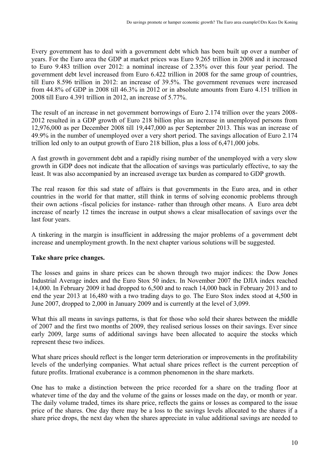Every government has to deal with a government debt which has been built up over a number of years. For the Euro area the GDP at market prices was Euro 9.265 trillion in 2008 and it increased to Euro 9.483 trillion over 2012: a nominal increase of 2.35% over this four year period. The government debt level increased from Euro 6.422 trillion in 2008 for the same group of countries, till Euro 8.596 trillion in 2012: an increase of 39.5%. The government revenues were increased from 44.8% of GDP in 2008 till 46.3% in 2012 or in absolute amounts from Euro 4.151 trillion in 2008 till Euro 4.391 trillion in 2012, an increase of 5.77%.

The result of an increase in net government borrowings of Euro 2.174 trillion over the years 2008- 2012 resulted in a GDP growth of Euro 218 billion plus an increase in unemployed persons from 12,976,000 as per December 2008 till 19,447,000 as per September 2013. This was an increase of 49.9% in the number of unemployed over a very short period. The savings allocation of Euro 2.174 trillion led only to an output growth of Euro 218 billion, plus a loss of 6,471,000 jobs.

A fast growth in government debt and a rapidly rising number of the unemployed with a very slow growth in GDP does not indicate that the allocation of savings was particularly effective, to say the least. It was also accompanied by an increased average tax burden as compared to GDP growth.

The real reason for this sad state of affairs is that governments in the Euro area, and in other countries in the world for that matter, still think in terms of solving economic problems through their own actions -fiscal policies for instance- rather than through other means. A Euro area debt increase of nearly 12 times the increase in output shows a clear misallocation of savings over the last four years.

A tinkering in the margin is insufficient in addressing the major problems of a government debt increase and unemployment growth. In the next chapter various solutions will be suggested.

# **Take share price changes.**

The losses and gains in share prices can be shown through two major indices: the Dow Jones Industrial Average index and the Euro Stox 50 index. In November 2007 the DJIA index reached 14,000. In February 2009 it had dropped to 6,500 and to reach 14,000 back in February 2013 and to end the year 2013 at 16,480 with a two trading days to go. The Euro Stox index stood at 4,500 in June 2007, dropped to 2,000 in January 2009 and is currently at the level of 3,099.

What this all means in savings patterns, is that for those who sold their shares between the middle of 2007 and the first two months of 2009, they realised serious losses on their savings. Ever since early 2009, large sums of additional savings have been allocated to acquire the stocks which represent these two indices.

What share prices should reflect is the longer term deterioration or improvements in the profitability levels of the underlying companies. What actual share prices reflect is the current perception of future profits. Irrational exuberance is a common phenomenon in the share markets.

One has to make a distinction between the price recorded for a share on the trading floor at whatever time of the day and the volume of the gains or losses made on the day, or month or year. The daily volume traded, times its share price, reflects the gains or losses as compared to the issue price of the shares. One day there may be a loss to the savings levels allocated to the shares if a share price drops, the next day when the shares appreciate in value additional savings are needed to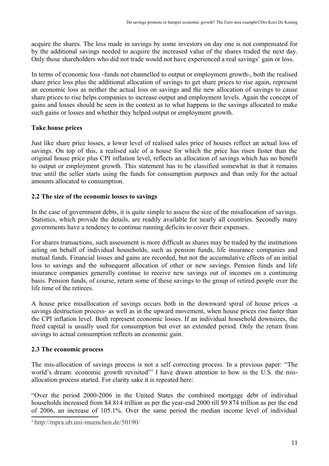acquire the shares. The loss made in savings by some investors on day one is not compensated for by the additional savings needed to acquire the increased value of the shares traded the next day. Only those shareholders who did not trade would not have experienced a real savings' gain or loss.

In terms of economic loss -funds not channelled to output or employment growth-, both the realised share price loss plus the additional allocation of savings to get share prices to rise again, represent an economic loss as neither the actual loss on savings and the new allocation of savings to cause share prices to rise helps companies to increase output and employment levels. Again the concept of gains and losses should be seen in the context as to what happens to the savings allocated to make such gains or losses and whether they helped output or employment growth.

## **Take house prices**

Just like share price losses, a lower level of realised sales price of houses reflect an actual loss of savings. On top of this, a realised sale of a house for which the price has risen faster than the original house price plus CPI inflation level, reflects an allocation of savings which has no benefit to output or employment growth. This statement has to be classified somewhat in that it remains true until the seller starts using the funds for consumption purposes and than only for the actual amounts allocated to consumption.

## **2.2 The size of the economic losses to savings**

In the case of government debts, it is quite simple to assess the size of the misallocation of savings. Statistics, which provide the details, are readily available for nearly all countries. Secondly many governments have a tendency to continue running deficits to cover their expenses.

For shares transactions, such assessment is more difficult as shares may be traded by the institutions acting on behalf of individual households, such as pension funds, life insurance companies and mutual funds. Financial losses and gains are recorded, but not the accumulative effects of an initial loss to savings and the subsequent allocation of other or new savings. Pension funds and life insurance companies generally continue to receive new savings out of incomes on a continuing basis. Pension funds, of course, return some of these savings to the group of retired people over the life time of the retirees.

A house price misallocation of savings occurs both in the downward spiral of house prices -a savings destruction process- as well as in the upward movement, when house prices rise faster than the CPI inflation level. Both represent economic losses. If an individual household downsizes, the freed capital is usually used for consumption but over an extended period. Only the return from savings to actual consumption reflects an economic gain.

#### **2.3 The economic process**

The mis-allocation of savings process is not a self correcting process. In a previous paper: "The world's dream: economic growth revisited"<sup>3</sup> I have drawn attention to how in the U.S. the misallocation process started. For clarity sake it is repeated here:

"Over the period 2000-2006 in the United States the combined mortgage debt of individual households increased from \$4.814 trillion as per the year-end 2000 till \$9.874 trillion as per the end of 2006, an increase of 105.1%. Over the same period the median income level of individual

<sup>3</sup> http://mpra.ub.uni-muenchen.de/50190/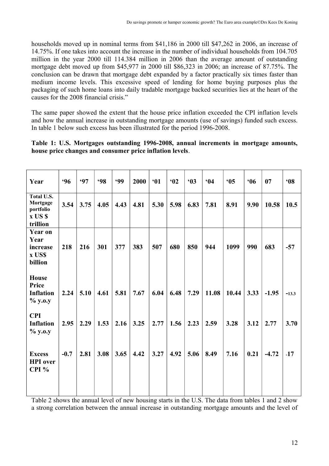households moved up in nominal terms from \$41,186 in 2000 till \$47,262 in 2006, an increase of 14.75%. If one takes into account the increase in the number of individual households from 104.705 million in the year 2000 till 114.384 million in 2006 than the average amount of outstanding mortgage debt moved up from \$45,977 in 2000 till \$86,323 in 2006; an increase of 87.75%. The conclusion can be drawn that mortgage debt expanded by a factor practically six times faster than medium income levels. This excessive speed of lending for home buying purposes plus the packaging of such home loans into daily tradable mortgage backed securities lies at the heart of the causes for the 2008 financial crisis."

The same paper showed the extent that the house price inflation exceeded the CPI inflation levels and how the annual increase in outstanding mortgage amounts (use of savings) funded such excess. In table 1 below such excess has been illustrated for the period 1996-2008.

|  | Table 1: U.S. Mortgages outstanding 1996-2008, annual increments in mortgage amounts, |  |  |  |
|--|---------------------------------------------------------------------------------------|--|--|--|
|  | house price changes and consumer price inflation levels.                              |  |  |  |

| Year                                                        | .96    | <b>.97</b> | <b>98</b> | <b>.99</b> | 2000 | 61   | 602  | 63   | 64    | 65    | 66   | 07      | 608     |
|-------------------------------------------------------------|--------|------------|-----------|------------|------|------|------|------|-------|-------|------|---------|---------|
| Total U.S.<br>Mortgage<br>portfolio<br>x US \$<br>trillion  | 3.54   | 3.75       | 4.05      | 4.43       | 4.81 | 5.30 | 5.98 | 6.83 | 7.81  | 8.91  | 9.90 | 10.58   | 10.5    |
| <b>Year on</b><br>Year<br>increase<br>x US\$<br>billion     | 218    | 216        | 301       | 377        | 383  | 507  | 680  | 850  | 944   | 1099  | 990  | 683     | $-57$   |
| <b>House</b><br><b>Price</b><br><b>Inflation</b><br>% y.o.y | 2.24   | 5.10       | 4.61      | 5.81       | 7.67 | 6.04 | 6.48 | 7.29 | 11.08 | 10.44 | 3.33 | $-1.95$ | $-13.3$ |
| <b>CPI</b><br><b>Inflation</b><br>% y.o.y                   | 2.95   | 2.29       | 1.53      | 2.16       | 3.25 | 2.77 | 1.56 | 2.23 | 2.59  | 3.28  | 3.12 | 2.77    | 3.70    |
| <b>Excess</b><br><b>HPI</b> over<br>CPI $%$                 | $-0.7$ | 2.81       | 3.08      | 3.65       | 4.42 | 3.27 | 4.92 | 5.06 | 8.49  | 7.16  | 0.21 | $-4.72$ | $-17$   |

Table 2 shows the annual level of new housing starts in the U.S. The data from tables 1 and 2 show a strong correlation between the annual increase in outstanding mortgage amounts and the level of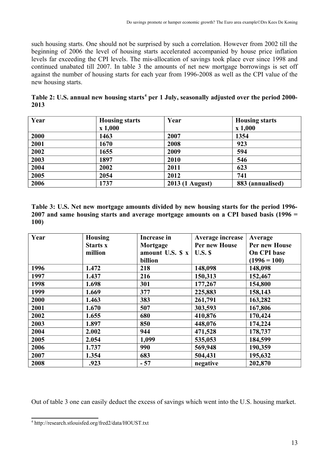such housing starts. One should not be surprised by such a correlation. However from 2002 till the beginning of 2006 the level of housing starts accelerated accompanied by house price inflation levels far exceeding the CPI levels. The mis-allocation of savings took place ever since 1998 and continued unabated till 2007. In table 3 the amounts of net new mortgage borrowings is set off against the number of housing starts for each year from 1996-2008 as well as the CPI value of the new housing starts.

**Table 2: U.S. annual new housing starts<sup>4</sup> per 1 July, seasonally adjusted over the period 2000- 2013**

| Year | <b>Housing starts</b> | Year            | <b>Housing starts</b> |
|------|-----------------------|-----------------|-----------------------|
|      | x 1,000               |                 | x 1,000               |
| 2000 | 1463                  | 2007            | 1354                  |
| 2001 | 1670                  | 2008            | 923                   |
| 2002 | 1655                  | 2009            | 594                   |
| 2003 | 1897                  | 2010            | 546                   |
| 2004 | 2002                  | 2011            | 623                   |
| 2005 | 2054                  | 2012            | 741                   |
| 2006 | 1737                  | 2013 (1 August) | 883 (annualised)      |

**Table 3: U.S. Net new mortgage amounts divided by new housing starts for the period 1996- 2007 and same housing starts and average mortgage amounts on a CPI based basis (1996 = 100)**

| Year | <b>Housing</b><br><b>Starts x</b><br>million | <b>Increase in</b><br>Mortgage<br>amount U.S. $\mathbf{\hat{s}} \times \mathbf{\hat{i}}$ | Average increase<br>Per new House<br>U.S. S | Average<br>Per new House<br>On CPI base |
|------|----------------------------------------------|------------------------------------------------------------------------------------------|---------------------------------------------|-----------------------------------------|
|      |                                              | billion                                                                                  |                                             | $(1996 = 100)$                          |
| 1996 | 1.472                                        | 218                                                                                      | 148,098                                     | 148,098                                 |
| 1997 | 1.437                                        | 216                                                                                      | 150,313                                     | 152,467                                 |
| 1998 | 1.698                                        | 301                                                                                      | 177,267                                     | 154,800                                 |
| 1999 | 1.669                                        | 377                                                                                      | 225,883                                     | 158,143                                 |
| 2000 | 1.463                                        | 383                                                                                      | 261,791                                     | 163,282                                 |
| 2001 | 1.670                                        | 507                                                                                      | 303,593                                     | 167,806                                 |
| 2002 | 1.655                                        | 680                                                                                      | 410,876                                     | 170,424                                 |
| 2003 | 1.897                                        | 850                                                                                      | 448,076                                     | 174,224                                 |
| 2004 | 2.002                                        | 944                                                                                      | 471,528                                     | 178,737                                 |
| 2005 | 2.054                                        | 1,099                                                                                    | 535,053                                     | 184,599                                 |
| 2006 | 1.737                                        | 990                                                                                      | 569,948                                     | 190,359                                 |
| 2007 | 1.354                                        | 683                                                                                      | 504,431                                     | 195,632                                 |
| 2008 | .923                                         | $-57$                                                                                    | negative                                    | 202,870                                 |

Out of table 3 one can easily deduct the excess of savings which went into the U.S. housing market.

<sup>4</sup> http://research.stlouisfed.org/fred2/data/HOUST.txt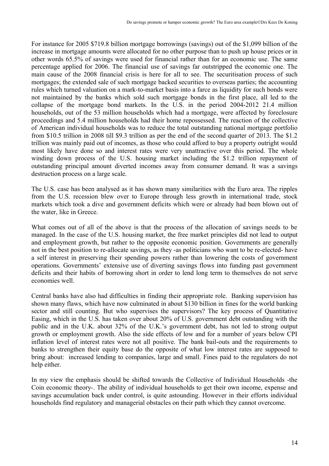For instance for 2005 \$719.8 billion mortgage borrowings (savings) out of the \$1,099 billion of the increase in mortgage amounts were allocated for no other purpose than to push up house prices or in other words 65.5% of savings were used for financial rather than for an economic use. The same percentage applied for 2006. The financial use of savings far outstripped the economic one. The main cause of the 2008 financial crisis is here for all to see. The securitisation process of such mortgages; the extended sale of such mortgage backed securities to overseas parties; the accounting rules which turned valuation on a mark-to-market basis into a farce as liquidity for such bonds were not maintained by the banks which sold such mortgage bonds in the first place, all led to the collapse of the mortgage bond markets. In the U.S. in the period 2004-2012 21.4 million households, out of the 53 million households which had a mortgage, were affected by foreclosure proceedings and 5.4 million households had their home repossessed. The reaction of the collective of American individual households was to reduce the total outstanding national mortgage portfolio from \$10.5 trillion in 2008 till \$9.3 trillion as per the end of the second quarter of 2013. The \$1.2 trillion was mainly paid out of incomes, as those who could afford to buy a property outright would most likely have done so and interest rates were very unattractive over this period. The whole winding down process of the U.S. housing market including the \$1.2 trillion repayment of outstanding principal amount diverted incomes away from consumer demand. It was a savings destruction process on a large scale.

The U.S. case has been analysed as it has shown many similarities with the Euro area. The ripples from the U.S. recession blew over to Europe through less growth in international trade, stock markets which took a dive and government deficits which were or already had been blown out of the water, like in Greece.

What comes out of all of the above is that the process of the allocation of savings needs to be managed. In the case of the U.S. housing market, the free market principles did not lead to output and employment growth, but rather to the opposite economic position. Governments are generally not in the best position to re-allocate savings, as they -as politicians who want to be re-elected- have a self interest in preserving their spending powers rather than lowering the costs of government operations. Governments' extensive use of diverting savings flows into funding past government deficits and their habits of borrowing short in order to lend long term to themselves do not serve economies well.

Central banks have also had difficulties in finding their appropriate role. Banking supervision has shown many flaws, which have now culminated in about \$130 billion in fines for the world banking sector and still counting. But who supervises the supervisors? The key process of Quantitative Easing, which in the U.S. has taken over about 20% of U.S. government debt outstanding with the public and in the U.K. about 32% of the U.K.'s government debt, has not led to strong output growth or employment growth. Also the side effects of low and for a number of years below CPI inflation level of interest rates were not all positive. The bank bail-outs and the requirements to banks to strengthen their equity base do the opposite of what low interest rates are supposed to bring about: increased lending to companies, large and small. Fines paid to the regulators do not help either.

In my view the emphasis should be shifted towards the Collective of Individual Households -the Coin economic theory-. The ability of individual households to get their own income, expense and savings accumulation back under control, is quite astounding. However in their efforts individual households find regulatory and managerial obstacles on their path which they cannot overcome.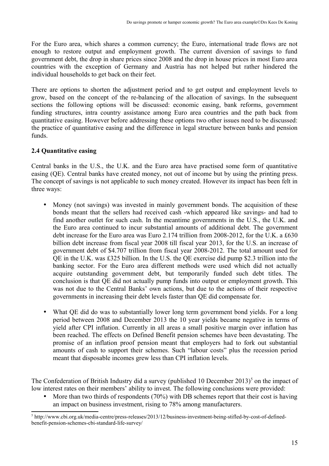For the Euro area, which shares a common currency; the Euro, international trade flows are not enough to restore output and employment growth. The current diversion of savings to fund government debt, the drop in share prices since 2008 and the drop in house prices in most Euro area countries with the exception of Germany and Austria has not helped but rather hindered the individual households to get back on their feet.

There are options to shorten the adjustment period and to get output and employment levels to grow, based on the concept of the re-balancing of the allocation of savings. In the subsequent sections the following options will be discussed: economic easing, bank reforms, government funding structures, intra country assistance among Euro area countries and the path back from quantitative easing. However before addressing these options two other issues need to be discussed: the practice of quantitative easing and the difference in legal structure between banks and pension funds.

## **2.4 Quantitative easing**

Central banks in the U.S., the U.K. and the Euro area have practised some form of quantitative easing (QE). Central banks have created money, not out of income but by using the printing press. The concept of savings is not applicable to such money created. However its impact has been felt in three ways:

- Money (not savings) was invested in mainly government bonds. The acquisition of these bonds meant that the sellers had received cash -which appeared like savings- and had to find another outlet for such cash. In the meantime governments in the U.S., the U.K. and the Euro area continued to incur substantial amounts of additional debt. The government debt increase for the Euro area was Euro 2.174 trillion from 2008-2012, for the U.K. a £630 billion debt increase from fiscal year 2008 till fiscal year 2013, for the U.S. an increase of government debt of \$4.707 trillion from fiscal year 2008-2012. The total amount used for QE in the U.K. was £325 billion. In the U.S. the QE exercise did pump \$2.3 trillion into the banking sector. For the Euro area different methods were used which did not actually acquire outstanding government debt, but temporarily funded such debt titles. The conclusion is that QE did not actually pump funds into output or employment growth. This was not due to the Central Banks' own actions, but due to the actions of their respective governments in increasing their debt levels faster than QE did compensate for.
- What QE did do was to substantially lower long term government bond yields. For a long period between 2008 and December 2013 the 10 year yields became negative in terms of yield after CPI inflation. Currently in all areas a small positive margin over inflation has been reached. The effects on Defined Benefit pension schemes have been devastating. The promise of an inflation proof pension meant that employers had to fork out substantial amounts of cash to support their schemes. Such "labour costs" plus the recession period meant that disposable incomes grew less than CPI inflation levels.

The Confederation of British Industry did a survey (published 10 December 2013)<sup>5</sup> on the impact of low interest rates on their members' ability to invest. The following conclusions were provided:

More than two thirds of respondents (70%) with DB schemes report that their cost is having an impact on business investment, rising to 78% among manufacturers.

<sup>&</sup>lt;sup>5</sup> http://www.cbi.org.uk/media-centre/press-releases/2013/12/business-investment-being-stifled-by-cost-of-definedbenefit-pension-schemes-cbi-standard-life-survey/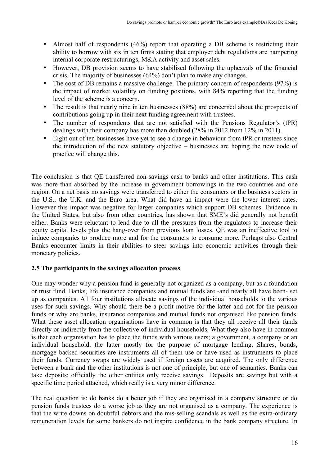- Almost half of respondents (46%) report that operating a DB scheme is restricting their ability to borrow with six in ten firms stating that employer debt regulations are hampering internal corporate restructurings, M&A activity and asset sales.
- However, DB provision seems to have stabilised following the upheavals of the financial crisis. The majority of businesses (64%) don't plan to make any changes.
- The cost of DB remains a massive challenge. The primary concern of respondents (97%) is the impact of market volatility on funding positions, with 84% reporting that the funding level of the scheme is a concern.
- The result is that nearly nine in ten businesses (88%) are concerned about the prospects of contributions going up in their next funding agreement with trustees.
- The number of respondents that are not satisfied with the Pensions Regulator's (tPR) dealings with their company has more than doubled (28% in 2012 from 12% in 2011).
- Eight out of ten businesses have yet to see a change in behaviour from tPR or trustees since the introduction of the new statutory objective – businesses are hoping the new code of practice will change this.

The conclusion is that QE transferred non-savings cash to banks and other institutions. This cash was more than absorbed by the increase in government borrowings in the two countries and one region. On a net basis no savings were transferred to either the consumers or the business sectors in the U.S., the U.K. and the Euro area. What did have an impact were the lower interest rates. However this impact was negative for larger companies which support DB schemes. Evidence in the United States, but also from other countries, has shown that SME's did generally not benefit either. Banks were reluctant to lend due to all the pressures from the regulators to increase their equity capital levels plus the hang-over from previous loan losses. QE was an ineffective tool to induce companies to produce more and for the consumers to consume more. Perhaps also Central Banks encounter limits in their abilities to steer savings into economic activities through their monetary policies.

#### **2.5 The participants in the savings allocation process**

One may wonder why a pension fund is generally not organized as a company, but as a foundation or trust fund. Banks, life insurance companies and mutual funds are -and nearly all have been- set up as companies. All four institutions allocate savings of the individual households to the various uses for such savings. Why should there be a profit motive for the latter and not for the pension funds or why are banks, insurance companies and mutual funds not organised like pension funds. What these asset allocation organisations have in common is that they all receive all their funds directly or indirectly from the collective of individual households. What they also have in common is that each organisation has to place the funds with various users; a government, a company or an individual household, the latter mostly for the purpose of mortgage lending. Shares, bonds, mortgage backed securities are instruments all of them use or have used as instruments to place their funds. Currency swaps are widely used if foreign assets are acquired. The only difference between a bank and the other institutions is not one of principle, but one of semantics. Banks can take deposits; officially the other entities only receive savings. Deposits are savings but with a specific time period attached, which really is a very minor difference.

The real question is: do banks do a better job if they are organised in a company structure or do pension funds trustees do a worse job as they are not organised as a company. The experience is that the write downs on doubtful debtors and the mis-selling scandals as well as the extra-ordinary remuneration levels for some bankers do not inspire confidence in the bank company structure. In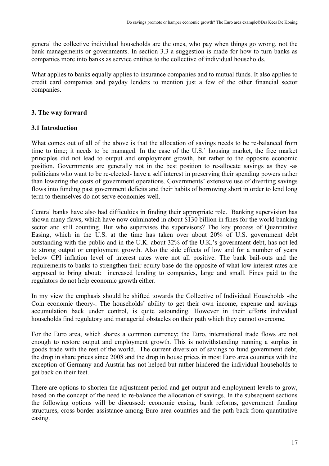general the collective individual households are the ones, who pay when things go wrong, not the bank managements or governments. In section 3.3 a suggestion is made for how to turn banks as companies more into banks as service entities to the collective of individual households.

What applies to banks equally applies to insurance companies and to mutual funds. It also applies to credit card companies and payday lenders to mention just a few of the other financial sector companies.

## **3. The way forward**

## **3.1 Introduction**

What comes out of all of the above is that the allocation of savings needs to be re-balanced from time to time; it needs to be managed. In the case of the U.S.' housing market, the free market principles did not lead to output and employment growth, but rather to the opposite economic position. Governments are generally not in the best position to re-allocate savings as they -as politicians who want to be re-elected- have a self interest in preserving their spending powers rather than lowering the costs of government operations. Governments' extensive use of diverting savings flows into funding past government deficits and their habits of borrowing short in order to lend long term to themselves do not serve economies well.

Central banks have also had difficulties in finding their appropriate role. Banking supervision has shown many flaws, which have now culminated in about \$130 billion in fines for the world banking sector and still counting. But who supervises the supervisors? The key process of Quantitative Easing, which in the U.S. at the time has taken over about 20% of U.S. government debt outstanding with the public and in the U.K. about 32% of the U.K.'s government debt, has not led to strong output or employment growth. Also the side effects of low and for a number of years below CPI inflation level of interest rates were not all positive. The bank bail-outs and the requirements to banks to strengthen their equity base do the opposite of what low interest rates are supposed to bring about: increased lending to companies, large and small. Fines paid to the regulators do not help economic growth either.

In my view the emphasis should be shifted towards the Collective of Individual Households -the Coin economic theory-. The households' ability to get their own income, expense and savings accumulation back under control, is quite astounding. However in their efforts individual households find regulatory and managerial obstacles on their path which they cannot overcome.

For the Euro area, which shares a common currency; the Euro, international trade flows are not enough to restore output and employment growth. This is notwithstanding running a surplus in goods trade with the rest of the world. The current diversion of savings to fund government debt, the drop in share prices since 2008 and the drop in house prices in most Euro area countries with the exception of Germany and Austria has not helped but rather hindered the individual households to get back on their feet.

There are options to shorten the adjustment period and get output and employment levels to grow, based on the concept of the need to re-balance the allocation of savings. In the subsequent sections the following options will be discussed: economic easing, bank reforms, government funding structures, cross-border assistance among Euro area countries and the path back from quantitative easing.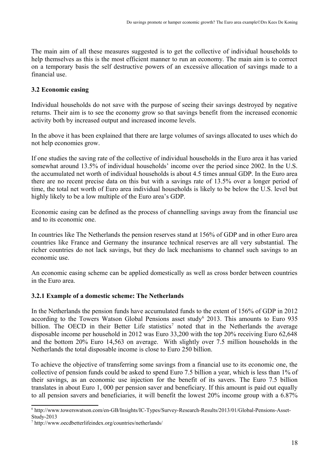The main aim of all these measures suggested is to get the collective of individual households to help themselves as this is the most efficient manner to run an economy. The main aim is to correct on a temporary basis the self destructive powers of an excessive allocation of savings made to a financial use.

## **3.2 Economic easing**

Individual households do not save with the purpose of seeing their savings destroyed by negative returns. Their aim is to see the economy grow so that savings benefit from the increased economic activity both by increased output and increased income levels.

In the above it has been explained that there are large volumes of savings allocated to uses which do not help economies grow.

If one studies the saving rate of the collective of individual households in the Euro area it has varied somewhat around 13.5% of individual households' income over the period since 2002. In the U.S. the accumulated net worth of individual households is about 4.5 times annual GDP. In the Euro area there are no recent precise data on this but with a savings rate of 13.5% over a longer period of time, the total net worth of Euro area individual households is likely to be below the U.S. level but highly likely to be a low multiple of the Euro area's GDP.

Economic easing can be defined as the process of channelling savings away from the financial use and to its economic one.

In countries like The Netherlands the pension reserves stand at 156% of GDP and in other Euro area countries like France and Germany the insurance technical reserves are all very substantial. The richer countries do not lack savings, but they do lack mechanisms to channel such savings to an economic use.

An economic easing scheme can be applied domestically as well as cross border between countries in the Euro area.

# **3.2.1 Example of a domestic scheme: The Netherlands**

In the Netherlands the pension funds have accumulated funds to the extent of 156% of GDP in 2012 according to the Towers Watson Global Pensions asset study<sup>6</sup> 2013. This amounts to Euro 935 billion. The OECD in their Better Life statistics<sup>7</sup> noted that in the Netherlands the average disposable income per household in 2012 was Euro 33,200 with the top 20% receiving Euro 62,648 and the bottom 20% Euro 14,563 on average. With slightly over 7.5 million households in the Netherlands the total disposable income is close to Euro 250 billion.

To achieve the objective of transferring some savings from a financial use to its economic one, the collective of pension funds could be asked to spend Euro 7.5 billion a year, which is less than 1% of their savings, as an economic use injection for the benefit of its savers. The Euro 7.5 billion translates in about Euro 1, 000 per pension saver and beneficiary. If this amount is paid out equally to all pension savers and beneficiaries, it will benefit the lowest 20% income group with a 6.87%

<sup>6</sup> http://www.towerswatson.com/en-GB/Insights/IC-Types/Survey-Research-Results/2013/01/Global-Pensions-Asset-Study-2013

<sup>7</sup> http://www.oecdbetterlifeindex.org/countries/netherlands/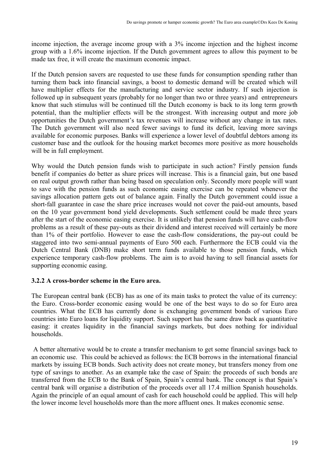income injection, the average income group with a 3% income injection and the highest income group with a 1.6% income injection. If the Dutch government agrees to allow this payment to be made tax free, it will create the maximum economic impact.

If the Dutch pension savers are requested to use these funds for consumption spending rather than turning them back into financial savings, a boost to domestic demand will be created which will have multiplier effects for the manufacturing and service sector industry. If such injection is followed up in subsequent years (probably for no longer than two or three years) and entrepreneurs know that such stimulus will be continued till the Dutch economy is back to its long term growth potential, than the multiplier effects will be the strongest. With increasing output and more job opportunities the Dutch government's tax revenues will increase without any change in tax rates. The Dutch government will also need fewer savings to fund its deficit, leaving more savings available for economic purposes. Banks will experience a lower level of doubtful debtors among its customer base and the outlook for the housing market becomes more positive as more households will be in full employment.

Why would the Dutch pension funds wish to participate in such action? Firstly pension funds benefit if companies do better as share prices will increase. This is a financial gain, but one based on real output growth rather than being based on speculation only. Secondly more people will want to save with the pension funds as such economic easing exercise can be repeated whenever the savings allocation pattern gets out of balance again. Finally the Dutch government could issue a short-fall guarantee in case the share price increases would not cover the paid-out amounts, based on the 10 year government bond yield developments. Such settlement could be made three years after the start of the economic easing exercise. It is unlikely that pension funds will have cash-flow problems as a result of these pay-outs as their dividend and interest received will certainly be more than 1% of their portfolio. However to ease the cash-flow considerations, the pay-out could be staggered into two semi-annual payments of Euro 500 each. Furthermore the ECB could via the Dutch Central Bank (DNB) make short term funds available to those pension funds, which experience temporary cash-flow problems. The aim is to avoid having to sell financial assets for supporting economic easing.

# **3.2.2 A cross-border scheme in the Euro area.**

The European central bank (ECB) has as one of its main tasks to protect the value of its currency: the Euro. Cross-border economic easing would be one of the best ways to do so for Euro area countries. What the ECB has currently done is exchanging government bonds of various Euro countries into Euro loans for liquidity support. Such support has the same draw back as quantitative easing: it creates liquidity in the financial savings markets, but does nothing for individual households.

 A better alternative would be to create a transfer mechanism to get some financial savings back to an economic use. This could be achieved as follows: the ECB borrows in the international financial markets by issuing ECB bonds. Such activity does not create money, but transfers money from one type of savings to another. As an example take the case of Spain: the proceeds of such bonds are transferred from the ECB to the Bank of Spain, Spain's central bank. The concept is that Spain's central bank will organise a distribution of the proceeds over all 17.4 million Spanish households. Again the principle of an equal amount of cash for each household could be applied. This will help the lower income level households more than the more affluent ones. It makes economic sense.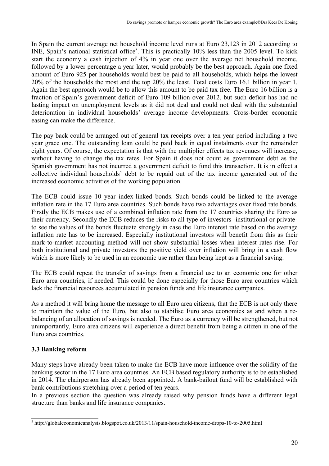In Spain the current average net household income level runs at Euro 23,123 in 2012 according to INE, Spain's national statistical office<sup>8</sup>. This is practically 10% less than the 2005 level. To kick start the economy a cash injection of 4% in year one over the average net household income, followed by a lower percentage a year later, would probably be the best approach. Again one fixed amount of Euro 925 per households would best be paid to all households, which helps the lowest 20% of the households the most and the top 20% the least. Total costs Euro 16.1 billion in year 1. Again the best approach would be to allow this amount to be paid tax free. The Euro 16 billion is a fraction of Spain's government deficit of Euro 109 billion over 2012, but such deficit has had no lasting impact on unemployment levels as it did not deal and could not deal with the substantial deterioration in individual households' average income developments. Cross-border economic easing can make the difference.

The pay back could be arranged out of general tax receipts over a ten year period including a two year grace one. The outstanding loan could be paid back in equal instalments over the remainder eight years. Of course, the expectation is that with the multiplier effects tax revenues will increase, without having to change the tax rates. For Spain it does not count as government debt as the Spanish government has not incurred a government deficit to fund this transaction. It is in effect a collective individual households' debt to be repaid out of the tax income generated out of the increased economic activities of the working population.

The ECB could issue 10 year index-linked bonds. Such bonds could be linked to the average inflation rate in the 17 Euro area countries. Such bonds have two advantages over fixed rate bonds. Firstly the ECB makes use of a combined inflation rate from the 17 countries sharing the Euro as their currency. Secondly the ECB reduces the risks to all type of investors -institutional or privateto see the values of the bonds fluctuate strongly in case the Euro interest rate based on the average inflation rate has to be increased. Especially institutional investors will benefit from this as their mark-to-market accounting method will not show substantial losses when interest rates rise. For both institutional and private investors the positive yield over inflation will bring in a cash flow which is more likely to be used in an economic use rather than being kept as a financial saving.

The ECB could repeat the transfer of savings from a financial use to an economic one for other Euro area countries, if needed. This could be done especially for those Euro area countries which lack the financial resources accumulated in pension funds and life insurance companies.

As a method it will bring home the message to all Euro area citizens, that the ECB is not only there to maintain the value of the Euro, but also to stabilise Euro area economies as and when a rebalancing of an allocation of savings is needed. The Euro as a currency will be strengthened, but not unimportantly, Euro area citizens will experience a direct benefit from being a citizen in one of the Euro area countries.

# **3.3 Banking reform**

Many steps have already been taken to make the ECB have more influence over the solidity of the banking sector in the 17 Euro area countries. An ECB based regulatory authority is to be established in 2014. The chairperson has already been appointed. A bank-bailout fund will be established with bank contributions stretching over a period of ten years.

In a previous section the question was already raised why pension funds have a different legal structure than banks and life insurance companies.

<sup>8</sup> http://globaleconomicanalysis.blogspot.co.uk/2013/11/spain-household-income-drops-10-to-2005.html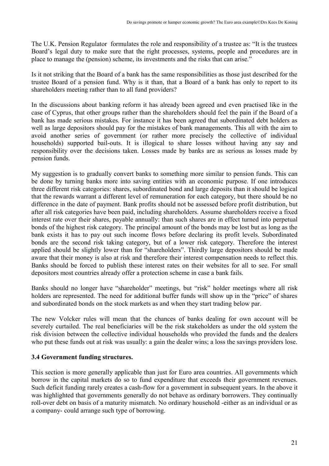The U.K. Pension Regulator formulates the role and responsibility of a trustee as: "It is the trustees Board's legal duty to make sure that the right processes, systems, people and procedures are in place to manage the (pension) scheme, its investments and the risks that can arise."

Is it not striking that the Board of a bank has the same responsibilities as those just described for the trustee Board of a pension fund. Why is it than, that a Board of a bank has only to report to its shareholders meeting rather than to all fund providers?

In the discussions about banking reform it has already been agreed and even practised like in the case of Cyprus, that other groups rather than the shareholders should feel the pain if the Board of a bank has made serious mistakes. For instance it has been agreed that subordinated debt holders as well as large depositors should pay for the mistakes of bank managements. This all with the aim to avoid another series of government (or rather more precisely the collective of individual households) supported bail-outs. It is illogical to share losses without having any say and responsibility over the decisions taken. Losses made by banks are as serious as losses made by pension funds.

My suggestion is to gradually convert banks to something more similar to pension funds. This can be done by turning banks more into saving entities with an economic purpose. If one introduces three different risk categories: shares, subordinated bond and large deposits than it should be logical that the rewards warrant a different level of remuneration for each category, but there should be no difference in the date of payment. Bank profits should not be assessed before profit distribution, but after all risk categories have been paid, including shareholders. Assume shareholders receive a fixed interest rate over their shares, payable annually: than such shares are in effect turned into perpetual bonds of the highest risk category. The principal amount of the bonds may be lost but as long as the bank exists it has to pay out such income flows before declaring its profit levels. Subordinated bonds are the second risk taking category, but of a lower risk category. Therefore the interest applied should be slightly lower than for "shareholders". Thirdly large depositors should be made aware that their money is also at risk and therefore their interest compensation needs to reflect this. Banks should be forced to publish these interest rates on their websites for all to see. For small depositors most countries already offer a protection scheme in case a bank fails.

Banks should no longer have "shareholder" meetings, but "risk" holder meetings where all risk holders are represented. The need for additional buffer funds will show up in the "price" of shares and subordinated bonds on the stock markets as and when they start trading below par.

The new Volcker rules will mean that the chances of banks dealing for own account will be severely curtailed. The real beneficiaries will be the risk stakeholders as under the old system the risk division between the collective individual households who provided the funds and the dealers who put these funds out at risk was usually: a gain the dealer wins; a loss the savings providers lose.

#### **3.4 Government funding structures.**

This section is more generally applicable than just for Euro area countries. All governments which borrow in the capital markets do so to fund expenditure that exceeds their government revenues. Such deficit funding rarely creates a cash-flow for a government in subsequent years. In the above it was highlighted that governments generally do not behave as ordinary borrowers. They continually roll-over debt on basis of a maturity mismatch. No ordinary household -either as an individual or as a company- could arrange such type of borrowing.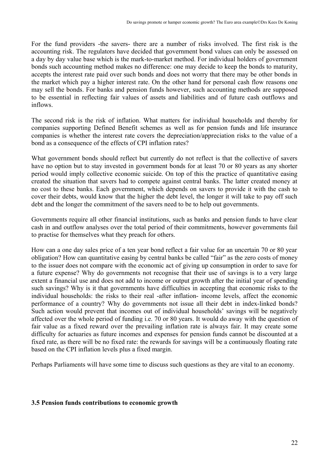For the fund providers -the savers- there are a number of risks involved. The first risk is the accounting risk. The regulators have decided that government bond values can only be assessed on a day by day value base which is the mark-to-market method. For individual holders of government bonds such accounting method makes no difference: one may decide to keep the bonds to maturity, accepts the interest rate paid over such bonds and does not worry that there may be other bonds in the market which pay a higher interest rate. On the other hand for personal cash flow reasons one may sell the bonds. For banks and pension funds however, such accounting methods are supposed to be essential in reflecting fair values of assets and liabilities and of future cash outflows and inflows.

The second risk is the risk of inflation. What matters for individual households and thereby for companies supporting Defined Benefit schemes as well as for pension funds and life insurance companies is whether the interest rate covers the depreciation/appreciation risks to the value of a bond as a consequence of the effects of CPI inflation rates?

What government bonds should reflect but currently do not reflect is that the collective of savers have no option but to stay invested in government bonds for at least 70 or 80 years as any shorter period would imply collective economic suicide. On top of this the practice of quantitative easing created the situation that savers had to compete against central banks. The latter created money at no cost to these banks. Each government, which depends on savers to provide it with the cash to cover their debts, would know that the higher the debt level, the longer it will take to pay off such debt and the longer the commitment of the savers need to be to help out governments.

Governments require all other financial institutions, such as banks and pension funds to have clear cash in and outflow analyses over the total period of their commitments, however governments fail to practise for themselves what they preach for others.

How can a one day sales price of a ten year bond reflect a fair value for an uncertain 70 or 80 year obligation? How can quantitative easing by central banks be called "fair" as the zero costs of money to the issuer does not compare with the economic act of giving up consumption in order to save for a future expense? Why do governments not recognise that their use of savings is to a very large extent a financial use and does not add to income or output growth after the initial year of spending such savings? Why is it that governments have difficulties in accepting that economic risks to the individual households: the risks to their real -after inflation- income levels, affect the economic performance of a country? Why do governments not issue all their debt in index-linked bonds? Such action would prevent that incomes out of individual households' savings will be negatively affected over the whole period of funding i.e. 70 or 80 years. It would do away with the question of fair value as a fixed reward over the prevailing inflation rate is always fair. It may create some difficulty for actuaries as future incomes and expenses for pension funds cannot be discounted at a fixed rate, as there will be no fixed rate: the rewards for savings will be a continuously floating rate based on the CPI inflation levels plus a fixed margin.

Perhaps Parliaments will have some time to discuss such questions as they are vital to an economy.

#### **3.5 Pension funds contributions to economic growth**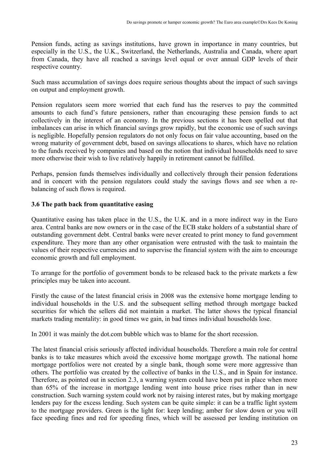Pension funds, acting as savings institutions, have grown in importance in many countries, but especially in the U.S., the U.K., Switzerland, the Netherlands, Australia and Canada, where apart from Canada, they have all reached a savings level equal or over annual GDP levels of their respective country.

Such mass accumulation of savings does require serious thoughts about the impact of such savings on output and employment growth.

Pension regulators seem more worried that each fund has the reserves to pay the committed amounts to each fund's future pensioners, rather than encouraging these pension funds to act collectively in the interest of an economy. In the previous sections it has been spelled out that imbalances can arise in which financial savings grow rapidly, but the economic use of such savings is negligible. Hopefully pension regulators do not only focus on fair value accounting, based on the wrong maturity of government debt, based on savings allocations to shares, which have no relation to the funds received by companies and based on the notion that individual households need to save more otherwise their wish to live relatively happily in retirement cannot be fulfilled.

Perhaps, pension funds themselves individually and collectively through their pension federations and in concert with the pension regulators could study the savings flows and see when a rebalancing of such flows is required.

## **3.6 The path back from quantitative easing**

Quantitative easing has taken place in the U.S., the U.K. and in a more indirect way in the Euro area. Central banks are now owners or in the case of the ECB stake holders of a substantial share of outstanding government debt. Central banks were never created to print money to fund government expenditure. They more than any other organisation were entrusted with the task to maintain the values of their respective currencies and to supervise the financial system with the aim to encourage economic growth and full employment.

To arrange for the portfolio of government bonds to be released back to the private markets a few principles may be taken into account.

Firstly the cause of the latest financial crisis in 2008 was the extensive home mortgage lending to individual households in the U.S. and the subsequent selling method through mortgage backed securities for which the sellers did not maintain a market. The latter shows the typical financial markets trading mentality: in good times we gain, in bad times individual households lose.

In 2001 it was mainly the dot.com bubble which was to blame for the short recession.

The latest financial crisis seriously affected individual households. Therefore a main role for central banks is to take measures which avoid the excessive home mortgage growth. The national home mortgage portfolios were not created by a single bank, though some were more aggressive than others. The portfolio was created by the collective of banks in the U.S., and in Spain for instance. Therefore, as pointed out in section 2.3, a warning system could have been put in place when more than 65% of the increase in mortgage lending went into house price rises rather than in new construction. Such warning system could work not by raising interest rates, but by making mortgage lenders pay for the excess lending. Such system can be quite simple: it can be a traffic light system to the mortgage providers. Green is the light for: keep lending; amber for slow down or you will face speeding fines and red for speeding fines, which will be assessed per lending institution on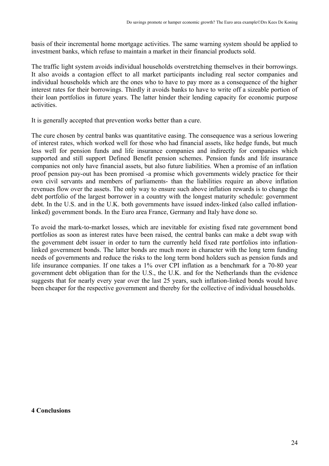basis of their incremental home mortgage activities. The same warning system should be applied to investment banks, which refuse to maintain a market in their financial products sold.

The traffic light system avoids individual households overstretching themselves in their borrowings. It also avoids a contagion effect to all market participants including real sector companies and individual households which are the ones who to have to pay more as a consequence of the higher interest rates for their borrowings. Thirdly it avoids banks to have to write off a sizeable portion of their loan portfolios in future years. The latter hinder their lending capacity for economic purpose activities.

It is generally accepted that prevention works better than a cure.

The cure chosen by central banks was quantitative easing. The consequence was a serious lowering of interest rates, which worked well for those who had financial assets, like hedge funds, but much less well for pension funds and life insurance companies and indirectly for companies which supported and still support Defined Benefit pension schemes. Pension funds and life insurance companies not only have financial assets, but also future liabilities. When a promise of an inflation proof pension pay-out has been promised -a promise which governments widely practice for their own civil servants and members of parliaments- than the liabilities require an above inflation revenues flow over the assets. The only way to ensure such above inflation rewards is to change the debt portfolio of the largest borrower in a country with the longest maturity schedule: government debt. In the U.S. and in the U.K. both governments have issued index-linked (also called inflationlinked) government bonds. In the Euro area France, Germany and Italy have done so.

To avoid the mark-to-market losses, which are inevitable for existing fixed rate government bond portfolios as soon as interest rates have been raised, the central banks can make a debt swap with the government debt issuer in order to turn the currently held fixed rate portfolios into inflationlinked government bonds. The latter bonds are much more in character with the long term funding needs of governments and reduce the risks to the long term bond holders such as pension funds and life insurance companies. If one takes a 1% over CPI inflation as a benchmark for a 70-80 year government debt obligation than for the U.S., the U.K. and for the Netherlands than the evidence suggests that for nearly every year over the last 25 years, such inflation-linked bonds would have been cheaper for the respective government and thereby for the collective of individual households.

#### **4 Conclusions**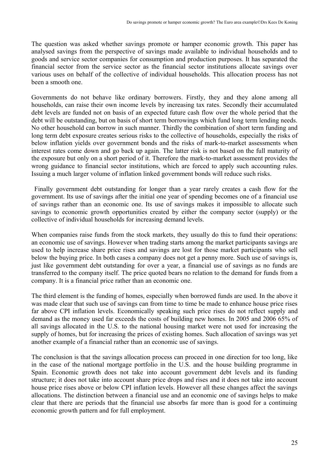The question was asked whether savings promote or hamper economic growth. This paper has analysed savings from the perspective of savings made available to individual households and to goods and service sector companies for consumption and production purposes. It has separated the financial sector from the service sector as the financial sector institutions allocate savings over various uses on behalf of the collective of individual households. This allocation process has not been a smooth one.

Governments do not behave like ordinary borrowers. Firstly, they and they alone among all households, can raise their own income levels by increasing tax rates. Secondly their accumulated debt levels are funded not on basis of an expected future cash flow over the whole period that the debt will be outstanding, but on basis of short term borrowings which fund long term lending needs. No other household can borrow in such manner. Thirdly the combination of short term funding and long term debt exposure creates serious risks to the collective of households, especially the risks of below inflation yields over government bonds and the risks of mark-to-market assessments when interest rates come down and go back up again. The latter risk is not based on the full maturity of the exposure but only on a short period of it. Therefore the mark-to-market assessment provides the wrong guidance to financial sector institutions, which are forced to apply such accounting rules. Issuing a much larger volume of inflation linked government bonds will reduce such risks.

 Finally government debt outstanding for longer than a year rarely creates a cash flow for the government. Its use of savings after the initial one year of spending becomes one of a financial use of savings rather than an economic one. Its use of savings makes it impossible to allocate such savings to economic growth opportunities created by either the company sector (supply) or the collective of individual households for increasing demand levels.

When companies raise funds from the stock markets, they usually do this to fund their operations: an economic use of savings. However when trading starts among the market participants savings are used to help increase share price rises and savings are lost for those market participants who sell below the buying price. In both cases a company does not get a penny more. Such use of savings is, just like government debt outstanding for over a year, a financial use of savings as no funds are transferred to the company itself. The price quoted bears no relation to the demand for funds from a company. It is a financial price rather than an economic one.

The third element is the funding of homes, especially when borrowed funds are used. In the above it was made clear that such use of savings can from time to time be made to enhance house price rises far above CPI inflation levels. Economically speaking such price rises do not reflect supply and demand as the money used far exceeds the costs of building new homes. In 2005 and 2006 65% of all savings allocated in the U.S. to the national housing market were not used for increasing the supply of homes, but for increasing the prices of existing homes. Such allocation of savings was yet another example of a financial rather than an economic use of savings.

The conclusion is that the savings allocation process can proceed in one direction for too long, like in the case of the national mortgage portfolio in the U.S. and the house building programme in Spain. Economic growth does not take into account government debt levels and its funding structure; it does not take into account share price drops and rises and it does not take into account house price rises above or below CPI inflation levels. However all these changes affect the savings allocations. The distinction between a financial use and an economic one of savings helps to make clear that there are periods that the financial use absorbs far more than is good for a continuing economic growth pattern and for full employment.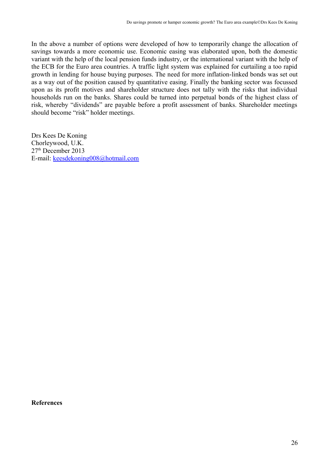In the above a number of options were developed of how to temporarily change the allocation of savings towards a more economic use. Economic easing was elaborated upon, both the domestic variant with the help of the local pension funds industry, or the international variant with the help of the ECB for the Euro area countries. A traffic light system was explained for curtailing a too rapid growth in lending for house buying purposes. The need for more inflation-linked bonds was set out as a way out of the position caused by quantitative easing. Finally the banking sector was focussed upon as its profit motives and shareholder structure does not tally with the risks that individual households run on the banks. Shares could be turned into perpetual bonds of the highest class of risk, whereby "dividends" are payable before a profit assessment of banks. Shareholder meetings should become "risk" holder meetings.

Drs Kees De Koning Chorleywood, U.K. 27<sup>th</sup> December 2013 E-mail: keesdekoning008@hotmail.com

**References**